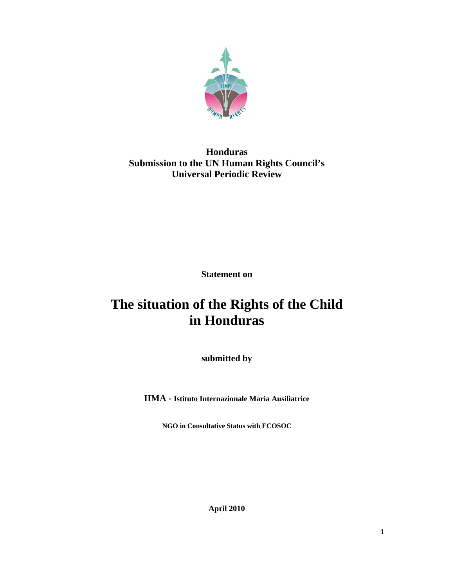

# **Honduras Submission to the UN Human Rights Council's Universal Periodic Review**

**Statement on** 

# **The situation of the Rights of the Child in Honduras**

**submitted by** 

**IIMA - Istituto Internazionale Maria Ausiliatrice** 

**NGO in Consultative Status with ECOSOC** 

**April 2010**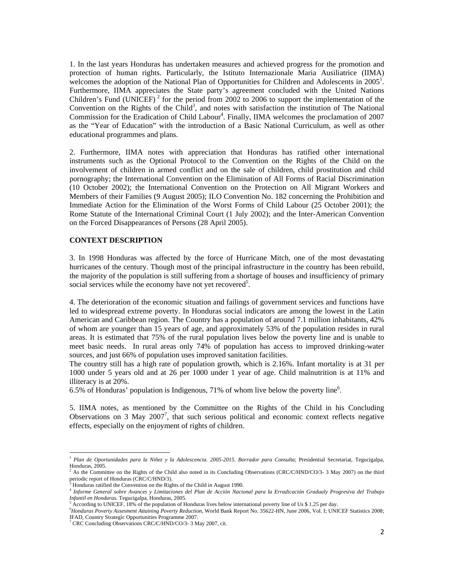1. In the last years Honduras has undertaken measures and achieved progress for the promotion and protection of human rights. Particularly, the Istituto Internazionale Maria Ausiliatrice (IIMA) welcomes the adoption of the National Plan of Opportunities for Children and Adolescents in  $2005<sup>1</sup>$ . Furthermore, IIMA appreciates the State party's agreement concluded with the United Nations Children's Fund (UNICEF)<sup>2</sup> for the period from 2002 to 2006 to support the implementation of the Convention on the Rights of the Child<sup>3</sup>, and notes with satisfaction the institution of The National Commission for the Eradication of Child Labour<sup>4</sup>. Finally, IIMA welcomes the proclamation of 2007 as the "Year of Education" with the introduction of a Basic National Curriculum, as well as other educational programmes and plans.

2. Furthermore, IIMA notes with appreciation that Honduras has ratified other international instruments such as the Optional Protocol to the Convention on the Rights of the Child on the involvement of children in armed conflict and on the sale of children, child prostitution and child pornography; the International Convention on the Elimination of All Forms of Racial Discrimination (10 October 2002); the International Convention on the Protection on All Migrant Workers and Members of their Families (9 August 2005); ILO Convention No. 182 concerning the Prohibition and Immediate Action for the Elimination of the Worst Forms of Child Labour (25 October 2001); the Rome Statute of the International Criminal Court (1 July 2002); and the Inter-American Convention on the Forced Disappearances of Persons (28 April 2005).

#### **CONTEXT DESCRIPTION**

3. In 1998 Honduras was affected by the force of Hurricane Mitch, one of the most devastating hurricanes of the century. Though most of the principal infrastructure in the country has been rebuild, the majority of the population is still suffering from a shortage of houses and insufficiency of primary social services while the economy have not yet recovered<sup>5</sup>.

4. The deterioration of the economic situation and failings of government services and functions have led to widespread extreme poverty. In Honduras social indicators are among the lowest in the Latin American and Caribbean region. The Country has a population of around 7.1 million inhabitants, 42% of whom are younger than 15 years of age, and approximately 53% of the population resides in rural areas. It is estimated that 75% of the rural population lives below the poverty line and is unable to meet basic needs. In rural areas only 74% of population has access to improved drinking-water sources, and just 66% of population uses improved sanitation facilities.

The country still has a high rate of population growth, which is 2.16%. Infant mortality is at 31 per 1000 under 5 years old and at 26 per 1000 under 1 year of age. Child malnutrition is at 11% and illiteracy is at 20%.

6.5% of Honduras' population is Indigenous, 71% of whom live below the poverty line<sup>6</sup>.

5. IIMA notes, as mentioned by the Committee on the Rights of the Child in his Concluding Observations on 3 May 2007<sup>7</sup>, that such serious political and economic context reflects negative effects, especially on the enjoyment of rights of children.

<sup>&</sup>lt;sup>1</sup> Plan de Oportunidades para la Niñez y la Adolescencia. 2005-2015. Borrador para Consulta; Presidential Secretariat, Tegucigalpa, Honduras, 2005.

<sup>&</sup>lt;sup>2</sup> As the Committee on the Rights of the Child also noted in its Concluding Observations (CRC/C/HND/CO/3- 3 May 2007) on the third periodic report of Honduras (CRC/C/HND/3).<br><sup>3</sup> Honduras ratified the Convention on the Rights of the Child in August 1990.

<sup>4</sup> *Informe General sobre Avances y Limitaciones del Plan de Acción Nacional para la Erradicación Gradualy Progresiva del Trabajo Infantil en Honduras*. Tegucigalpa, Honduras, 2005.

According to UNICEF, 18% of the population of Honduras lives below international poverty line of Us \$ 1.25 per day.

<sup>6</sup> *Honduras Poverty Assesment Attaining Poverty Reduction*, World Bank Report No. 35622-HN, June 2006, Vol. I; UNICEF Statistics 2008; IFAD, Country Strategic Opportunities Programme 2007.

<sup>7</sup> CRC Concluding Observations CRC/C/HND/CO/3- 3 May 2007, cit.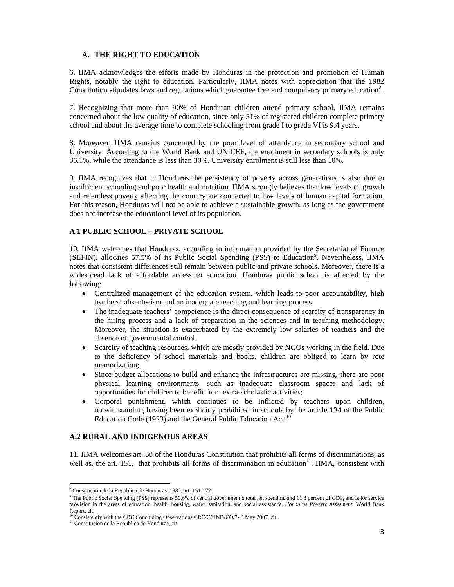# **A. THE RIGHT TO EDUCATION**

6. IIMA acknowledges the efforts made by Honduras in the protection and promotion of Human Rights, notably the right to education. Particularly, IIMA notes with appreciation that the 1982 Constitution stipulates laws and regulations which guarantee free and compulsory primary education<sup>8</sup>.

7. Recognizing that more than 90% of Honduran children attend primary school, IIMA remains concerned about the low quality of education, since only 51% of registered children complete primary school and about the average time to complete schooling from grade I to grade VI is 9.4 years.

8. Moreover, IIMA remains concerned by the poor level of attendance in secondary school and University. According to the World Bank and UNICEF, the enrolment in secondary schools is only 36.1%, while the attendance is less than 30%. University enrolment is still less than 10%.

9. IIMA recognizes that in Honduras the persistency of poverty across generations is also due to insufficient schooling and poor health and nutrition. IIMA strongly believes that low levels of growth and relentless poverty affecting the country are connected to low levels of human capital formation. For this reason, Honduras will not be able to achieve a sustainable growth, as long as the government does not increase the educational level of its population.

#### **A.1 PUBLIC SCHOOL – PRIVATE SCHOOL**

10. IIMA welcomes that Honduras, according to information provided by the Secretariat of Finance (SEFIN), allocates 57.5% of its Public Social Spending (PSS) to Education<sup>9</sup>. Nevertheless, IIMA notes that consistent differences still remain between public and private schools. Moreover, there is a widespread lack of affordable access to education. Honduras public school is affected by the following:

- Centralized management of the education system, which leads to poor accountability, high teachers' absenteeism and an inadequate teaching and learning process.
- The inadequate teachers' competence is the direct consequence of scarcity of transparency in the hiring process and a lack of preparation in the sciences and in teaching methodology. Moreover, the situation is exacerbated by the extremely low salaries of teachers and the absence of governmental control.
- Scarcity of teaching resources, which are mostly provided by NGOs working in the field. Due to the deficiency of school materials and books, children are obliged to learn by rote memorization;
- Since budget allocations to build and enhance the infrastructures are missing, there are poor physical learning environments, such as inadequate classroom spaces and lack of opportunities for children to benefit from extra-scholastic activities;
- Corporal punishment, which continues to be inflicted by teachers upon children, notwithstanding having been explicitly prohibited in schools by the article 134 of the Public Education Code (1923) and the General Public Education Act.<sup>10</sup>

#### **A.2 RURAL AND INDIGENOUS AREAS**

11. IIMA welcomes art. 60 of the Honduras Constitution that prohibits all forms of discriminations, as well as, the art. 151, that prohibits all forms of discrimination in education $11$ . IIMA, consistent with

<sup>8</sup> Constitución de la Republica de Honduras, 1982, art. 151-177.

<sup>&</sup>lt;sup>9</sup> The Public Social Spending (PSS) represents 50.6% of central government's total net spending and 11.8 percent of GDP, and is for service provision in the areas of education, health, housing, water, sanitation, and social assistance. *Honduras Poverty Assesment*, World Bank Report, cit.

<sup>&</sup>lt;sup>10</sup> Consistently with the CRC Concluding Observations CRC/C/HND/CO/3- 3 May 2007, cit. <sup>11</sup> Constitución de la Republica de Honduras, cit.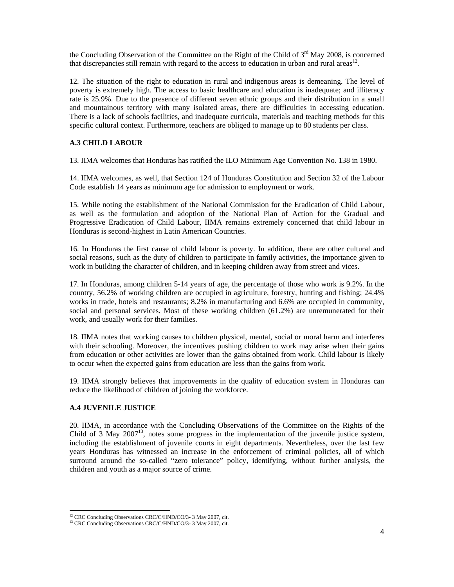the Concluding Observation of the Committee on the Right of the Child of  $3<sup>rd</sup>$  May 2008, is concerned that discrepancies still remain with regard to the access to education in urban and rural areas<sup>12</sup>.

12. The situation of the right to education in rural and indigenous areas is demeaning. The level of poverty is extremely high. The access to basic healthcare and education is inadequate; and illiteracy rate is 25.9%. Due to the presence of different seven ethnic groups and their distribution in a small and mountainous territory with many isolated areas, there are difficulties in accessing education. There is a lack of schools facilities, and inadequate curricula, materials and teaching methods for this specific cultural context. Furthermore, teachers are obliged to manage up to 80 students per class.

# **A.3 CHILD LABOUR**

13. IIMA welcomes that Honduras has ratified the ILO Minimum Age Convention No. 138 in 1980.

14. IIMA welcomes, as well, that Section 124 of Honduras Constitution and Section 32 of the Labour Code establish 14 years as minimum age for admission to employment or work.

15. While noting the establishment of the National Commission for the Eradication of Child Labour, as well as the formulation and adoption of the National Plan of Action for the Gradual and Progressive Eradication of Child Labour, IIMA remains extremely concerned that child labour in Honduras is second-highest in Latin American Countries.

16. In Honduras the first cause of child labour is poverty. In addition, there are other cultural and social reasons, such as the duty of children to participate in family activities, the importance given to work in building the character of children, and in keeping children away from street and vices.

17. In Honduras, among children 5-14 years of age, the percentage of those who work is 9.2%. In the country, 56.2% of working children are occupied in agriculture, forestry, hunting and fishing; 24.4% works in trade, hotels and restaurants; 8.2% in manufacturing and 6.6% are occupied in community, social and personal services. Most of these working children (61.2%) are unremunerated for their work, and usually work for their families.

18. IIMA notes that working causes to children physical, mental, social or moral harm and interferes with their schooling. Moreover, the incentives pushing children to work may arise when their gains from education or other activities are lower than the gains obtained from work. Child labour is likely to occur when the expected gains from education are less than the gains from work.

19. IIMA strongly believes that improvements in the quality of education system in Honduras can reduce the likelihood of children of joining the workforce.

# **A.4 JUVENILE JUSTICE**

20. IIMA, in accordance with the Concluding Observations of the Committee on the Rights of the Child of 3 May  $2007<sup>13</sup>$ , notes some progress in the implementation of the juvenile justice system, including the establishment of juvenile courts in eight departments. Nevertheless, over the last few years Honduras has witnessed an increase in the enforcement of criminal policies, all of which surround around the so-called "zero tolerance" policy, identifying, without further analysis, the children and youth as a major source of crime.

<sup>&</sup>lt;sup>12</sup> CRC Concluding Observations CRC/C/HND/CO/3- 3 May 2007, cit.

<sup>&</sup>lt;sup>13</sup> CRC Concluding Observations CRC/C/HND/CO/3- 3 May 2007, cit.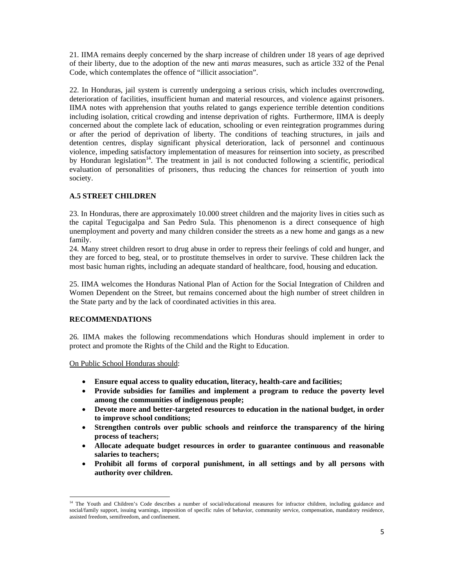21. IIMA remains deeply concerned by the sharp increase of children under 18 years of age deprived of their liberty, due to the adoption of the new anti *maras* measures, such as article 332 of the Penal Code, which contemplates the offence of "illicit association".

22. In Honduras, jail system is currently undergoing a serious crisis, which includes overcrowding, deterioration of facilities, insufficient human and material resources, and violence against prisoners. IIMA notes with apprehension that youths related to gangs experience terrible detention conditions including isolation, critical crowding and intense deprivation of rights. Furthermore, IIMA is deeply concerned about the complete lack of education, schooling or even reintegration programmes during or after the period of deprivation of liberty. The conditions of teaching structures, in jails and detention centres, display significant physical deterioration, lack of personnel and continuous violence, impeding satisfactory implementation of measures for reinsertion into society, as prescribed by Honduran legislation<sup>14</sup>. The treatment in jail is not conducted following a scientific, periodical evaluation of personalities of prisoners, thus reducing the chances for reinsertion of youth into society.

# **A.5 STREET CHILDREN**

23. In Honduras, there are approximately 10.000 street children and the majority lives in cities such as the capital Tegucigalpa and San Pedro Sula. This phenomenon is a direct consequence of high unemployment and poverty and many children consider the streets as a new home and gangs as a new family.

24. Many street children resort to drug abuse in order to repress their feelings of cold and hunger, and they are forced to beg, steal, or to prostitute themselves in order to survive. These children lack the most basic human rights, including an adequate standard of healthcare, food, housing and education.

25. IIMA welcomes the Honduras National Plan of Action for the Social Integration of Children and Women Dependent on the Street, but remains concerned about the high number of street children in the State party and by the lack of coordinated activities in this area.

# **RECOMMENDATIONS**

26. IIMA makes the following recommendations which Honduras should implement in order to protect and promote the Rights of the Child and the Right to Education.

On Public School Honduras should:

- **Ensure equal access to quality education, literacy, health-care and facilities;**
- **Provide subsidies for families and implement a program to reduce the poverty level among the communities of indigenous people;**
- **Devote more and better-targeted resources to education in the national budget, in order to improve school conditions;**
- **Strengthen controls over public schools and reinforce the transparency of the hiring process of teachers;**
- **Allocate adequate budget resources in order to guarantee continuous and reasonable salaries to teachers;**
- **Prohibit all forms of corporal punishment, in all settings and by all persons with authority over children.**

 <sup>14</sup> The Youth and Children's Code describes a number of social/educational measures for infractor children, including guidance and social/family support, issuing warnings, imposition of specific rules of behavior, community service, compensation, mandatory residence, assisted freedom, semifreedom, and confinement.